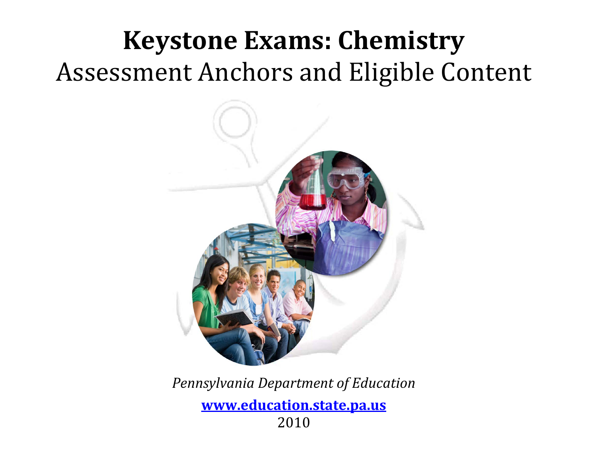# **Keystone Exams: Chemistry** Assessment Anchors and Eligible Content



*Pennsylvania Department of Education*

**www.education.state.pa.us** 2010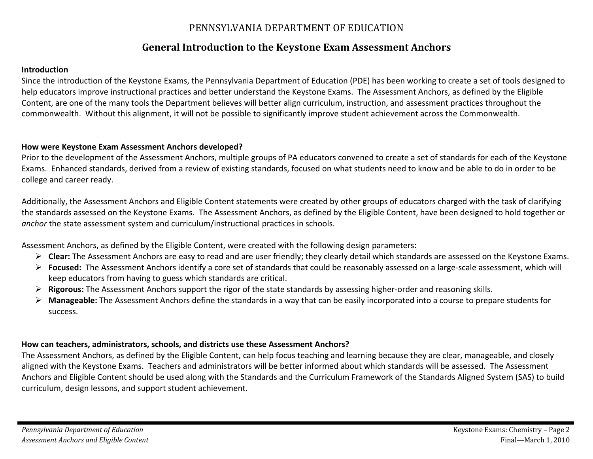# PENNSYLVANIA DEPARTMENT OF EDUCATION

# **General Introduction to the Keystone Exam Assessment Anchors**

#### **Introduction**

Since the introduction of the Keystone Exams, the Pennsylvania Department of Education (PDE) has been working to create <sup>a</sup> set of tools designed to help educators improve instructional practices and better understand the Keystone Exams. The Assessment Anchors, as defined by the Eligible Content, are one of the many tools the Department believes will better align curriculum, instruction, and assessment practices throughout the commonwealth. Without this alignment, it will not be possible to significantly improve student achievement across the Commonwealth.

#### **How were Keystone Exam Assessment Anchors developed?**

Prior to the development of the Assessment Anchors, multiple groups of PA educators convened to create <sup>a</sup> set of standards for each of the Keystone Exams. Enhanced standards, derived from <sup>a</sup> review of existing standards, focused on what students need to know and be able to do in order to be college and career ready.

Additionally, the Assessment Anchors and Eligible Content statements were created by other groups of educators charged with the task of clarifying the standards assessed on the Keystone Exams. The Assessment Anchors, as defined by the Eligible Content, have been designed to hold together or *anchor* the state assessment system and curriculum/instructional practices in schools.

Assessment Anchors, as defined by the Eligible Content, were created with the following design parameters:

- ¾ **Clear:** The Assessment Anchors are easy to read and are user friendly; they clearly detail which standards are assessed on the Keystone Exams.
- ¾ **Focused:** The Assessment Anchors identify <sup>a</sup> core set of standards that could be reasonably assessed on <sup>a</sup> large‐scale assessment, which will keep educators from having to guess which standards are critical.
- ¾ **Rigorous:** The Assessment Anchors support the rigor of the state standards by assessing higher‐order and reasoning skills.
- ¾ **Manageable:** The Assessment Anchors define the standards in <sup>a</sup> way that can be easily incorporated into <sup>a</sup> course to prepare students for success.

#### **How can teachers, administrators, schools, and districts use these Assessment Anchors?**

The Assessment Anchors, as defined by the Eligible Content, can help focus teaching and learning because they are clear, manageable, and closely aligned with the Keystone Exams. Teachers and administrators will be better informed about which standards will be assessed. The Assessment Anchors and Eligible Content should be used along with the Standards and the Curriculum Framework of the Standards Aligned System (SAS) to build curriculum, design lessons, and support student achievement.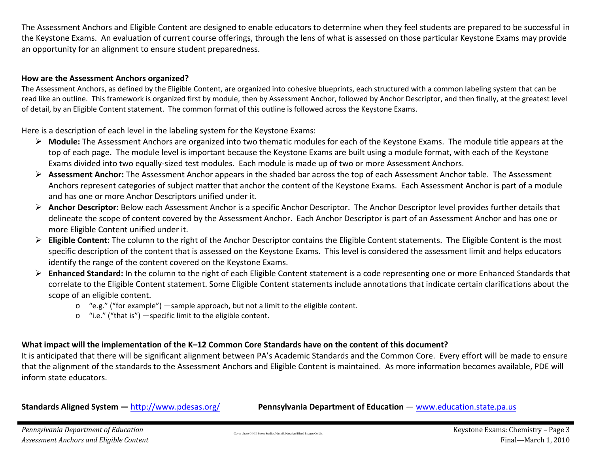The Assessment Anchors and Eligible Content are designed to enable educators to determine when they feel students are prepared to be successful in the Keystone Exams. An evaluation of current course offerings, through the lens of what is assessed on those particular Keystone Exams may provide an opportunity for an alignment to ensure student preparedness.

#### **How are the Assessment Anchors organized?**

The Assessment Anchors, as defined by the Eligible Content, are organized into cohesive blueprints, each structured with <sup>a</sup> common labeling system that can be read like an outline. This framework is organized first by module, then by Assessment Anchor, followed by Anchor Descriptor, and then finally, at the greatest level of detail, by an Eligible Content statement. The common format of this outline is followed across the Keystone Exams.

Here is <sup>a</sup> description of each level in the labeling system for the Keystone Exams:

- ¾ **Module:** The Assessment Anchors are organized into two thematic modules for each of the Keystone Exams. The module title appears at the top of each page. The module level is important because the Keystone Exams are built using <sup>a</sup> module format, with each of the Keystone Exams divided into two equally‐sized test modules. Each module is made up of two or more Assessment Anchors.
- ¾ **Assessment Anchor:** The Assessment Anchor appears in the shaded bar across the top of each Assessment Anchor table. The Assessment Anchors represent categories of subject matter that anchor the content of the Keystone Exams. Each Assessment Anchor is part of <sup>a</sup> module and has one or more Anchor Descriptors unified under it.
- ¾ **Anchor Descriptor:** Below each Assessment Anchor is <sup>a</sup> specific Anchor Descriptor. The Anchor Descriptor level provides further details that delineate the scope of content covered by the Assessment Anchor. Each Anchor Descriptor is part of an Assessment Anchor and has one or more Eligible Content unified under it.
- ¾ **Eligible Content:** The column to the right of the Anchor Descriptor contains the Eligible Content statements. The Eligible Content is the most specific description of the content that is assessed on the Keystone Exams. This level is considered the assessment limit and helps educators identify the range of the content covered on the Keystone Exams.
- ¾ **Enhanced Standard:** In the column to the right of each Eligible Content statement is <sup>a</sup> code representing one or more Enhanced Standards that correlate to the Eligible Content statement. Some Eligible Content statements include annotations that indicate certain clarifications about the scope of an eligible content.
	- o "e.g." ("for example") —sample approach, but not <sup>a</sup> limit to the eligible content.
	- o "i.e." ("that is") —specific limit to the eligible content.

# What impact will the implementation of the K–12 Common Core Standards have on the content of this document?

It is anticipated that there will be significant alignment between PA's Academic Standards and the Common Core. Every effort will be made to ensure that the alignment of the standards to the Assessment Anchors and Eligible Content is maintained. As more information becomes available, PDE will inform state educators.

**Standards Aligned System - http://www.pdesas.org/** 

**Pennsylvania Department of Education — www.education.state.pa.us**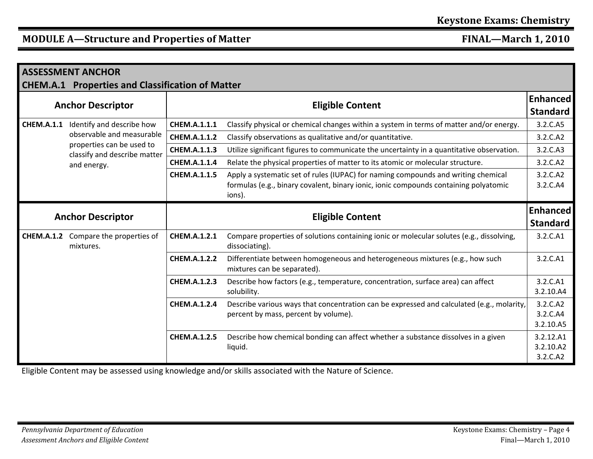## **MODULE A—Structure and**

**Properties of Matter FINAL—March 1, 2010**

| <b>ASSESSMENT ANCHOR</b><br><b>CHEM.A.1 Properties and Classification of Matter</b> |                                                                                                                                    |                     |                                                                                                                                                                                     |                                    |  |
|-------------------------------------------------------------------------------------|------------------------------------------------------------------------------------------------------------------------------------|---------------------|-------------------------------------------------------------------------------------------------------------------------------------------------------------------------------------|------------------------------------|--|
| <b>Anchor Descriptor</b>                                                            |                                                                                                                                    |                     | <b>Eligible Content</b>                                                                                                                                                             | <b>Enhanced</b><br><b>Standard</b> |  |
| <b>CHEM.A.1.1</b>                                                                   | Identify and describe how<br>observable and measurable<br>properties can be used to<br>classify and describe matter<br>and energy. | CHEM.A.1.1.1        | Classify physical or chemical changes within a system in terms of matter and/or energy.                                                                                             | 3.2.C.A5                           |  |
|                                                                                     |                                                                                                                                    | <b>CHEM.A.1.1.2</b> | Classify observations as qualitative and/or quantitative.                                                                                                                           | 3.2.C.A2                           |  |
|                                                                                     |                                                                                                                                    | <b>CHEM.A.1.1.3</b> | Utilize significant figures to communicate the uncertainty in a quantitative observation.                                                                                           | 3.2.C.A3                           |  |
|                                                                                     |                                                                                                                                    | <b>CHEM.A.1.1.4</b> | Relate the physical properties of matter to its atomic or molecular structure.                                                                                                      | 3.2.C.A2                           |  |
|                                                                                     |                                                                                                                                    | <b>CHEM.A.1.1.5</b> | Apply a systematic set of rules (IUPAC) for naming compounds and writing chemical<br>formulas (e.g., binary covalent, binary ionic, ionic compounds containing polyatomic<br>ions). | 3.2.C.A2<br>3.2.C.A4               |  |
| <b>Anchor Descriptor</b>                                                            |                                                                                                                                    |                     | <b>Eligible Content</b>                                                                                                                                                             | <b>Enhanced</b><br><b>Standard</b> |  |
| <b>CHEM.A.1.2</b>                                                                   | Compare the properties of<br>mixtures.                                                                                             | <b>CHEM.A.1.2.1</b> | Compare properties of solutions containing ionic or molecular solutes (e.g., dissolving,<br>dissociating).                                                                          | 3.2.C.A1                           |  |
|                                                                                     |                                                                                                                                    | <b>CHEM.A.1.2.2</b> | Differentiate between homogeneous and heterogeneous mixtures (e.g., how such<br>mixtures can be separated).                                                                         | 3.2.C.A1                           |  |
|                                                                                     |                                                                                                                                    | <b>CHEM.A.1.2.3</b> | Describe how factors (e.g., temperature, concentration, surface area) can affect<br>solubility.                                                                                     | 3.2.C.A1<br>3.2.10.A4              |  |
|                                                                                     |                                                                                                                                    | <b>CHEM.A.1.2.4</b> | Describe various ways that concentration can be expressed and calculated (e.g., molarity,<br>percent by mass, percent by volume).                                                   | 3.2.C.A2<br>3.2.C.A4<br>3.2.10.A5  |  |
|                                                                                     |                                                                                                                                    | <b>CHEM.A.1.2.5</b> | Describe how chemical bonding can affect whether a substance dissolves in a given<br>liquid.                                                                                        | 3.2.12.A1<br>3.2.10.A2<br>3.2.C.A2 |  |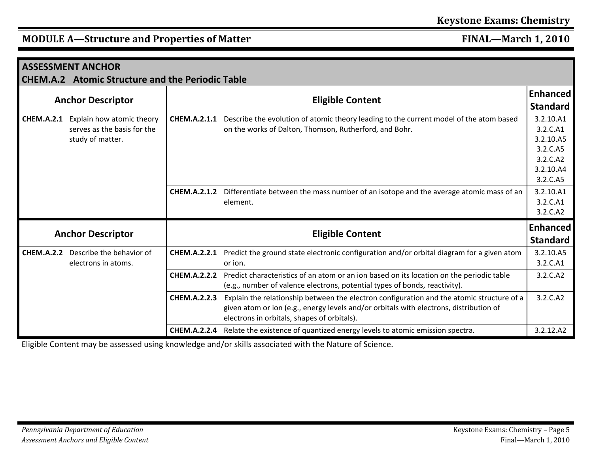#### **MODULE A—Structure and**

**Properties of Matter FINAL—March 1, 2010**

| <b>ASSESSMENT ANCHOR</b><br><b>CHEM.A.2</b> Atomic Structure and the Periodic Table |                                                 |                         |                                                                                                                                                                                                                                    |                              |
|-------------------------------------------------------------------------------------|-------------------------------------------------|-------------------------|------------------------------------------------------------------------------------------------------------------------------------------------------------------------------------------------------------------------------------|------------------------------|
| <b>Anchor Descriptor</b>                                                            |                                                 | <b>Eligible Content</b> |                                                                                                                                                                                                                                    | Enhanced                     |
| <b>CHEM.A.2.1</b>                                                                   | Explain how atomic theory                       | <b>CHEM.A.2.1.1</b>     | Describe the evolution of atomic theory leading to the current model of the atom based                                                                                                                                             | <b>Standard</b><br>3.2.10.A1 |
|                                                                                     | serves as the basis for the<br>study of matter. |                         | on the works of Dalton, Thomson, Rutherford, and Bohr.                                                                                                                                                                             | 3.2.C.A1                     |
|                                                                                     |                                                 |                         |                                                                                                                                                                                                                                    | 3.2.10.A5                    |
|                                                                                     |                                                 |                         |                                                                                                                                                                                                                                    | 3.2.C.A5                     |
|                                                                                     |                                                 |                         |                                                                                                                                                                                                                                    | 3.2.C.A2<br>3.2.10.A4        |
|                                                                                     |                                                 |                         |                                                                                                                                                                                                                                    | 3.2.C.A5                     |
|                                                                                     |                                                 |                         | CHEM.A.2.1.2 Differentiate between the mass number of an isotope and the average atomic mass of an                                                                                                                                 | 3.2.10.A1                    |
|                                                                                     |                                                 |                         | element.                                                                                                                                                                                                                           | 3.2.C.A1                     |
|                                                                                     |                                                 |                         |                                                                                                                                                                                                                                    | 3.2.C.A2                     |
|                                                                                     | <b>Anchor Descriptor</b>                        |                         | <b>Eligible Content</b>                                                                                                                                                                                                            |                              |
|                                                                                     |                                                 |                         |                                                                                                                                                                                                                                    |                              |
| <b>CHEM.A.2.2</b>                                                                   | Describe the behavior of                        | <b>CHEM.A.2.2.1</b>     | Predict the ground state electronic configuration and/or orbital diagram for a given atom                                                                                                                                          | 3.2.10.A5                    |
|                                                                                     | electrons in atoms.                             |                         | or ion.                                                                                                                                                                                                                            | 3.2.C.A1                     |
|                                                                                     |                                                 |                         | CHEM.A.2.2.2 Predict characteristics of an atom or an ion based on its location on the periodic table<br>(e.g., number of valence electrons, potential types of bonds, reactivity).                                                | 3.2.C.A2                     |
|                                                                                     |                                                 | <b>CHEM.A.2.2.3</b>     | Explain the relationship between the electron configuration and the atomic structure of a<br>given atom or ion (e.g., energy levels and/or orbitals with electrons, distribution of<br>electrons in orbitals, shapes of orbitals). | 3.2.C.A2                     |
|                                                                                     |                                                 |                         | CHEM.A.2.2.4 Relate the existence of quantized energy levels to atomic emission spectra.                                                                                                                                           | 3.2.12.A2                    |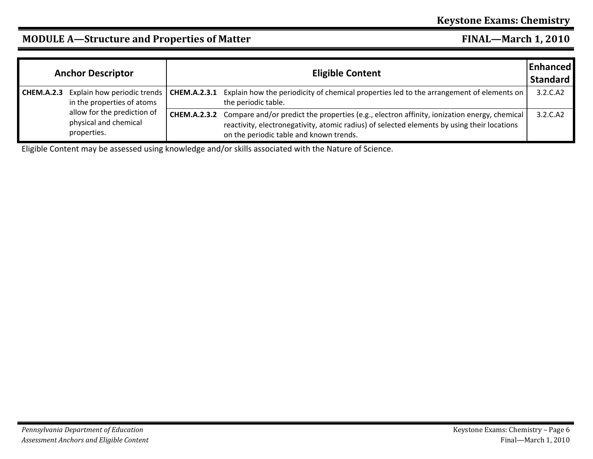### **MODULE A—Structure and**

# **Properties of Matter FINAL—March 1, 2010**

| <b>Anchor Descriptor</b> |                                                                     | <b>Eligible Content</b>                                                                                                                                                                                                                            | <b>Enhanced</b><br><b>Standard</b> |
|--------------------------|---------------------------------------------------------------------|----------------------------------------------------------------------------------------------------------------------------------------------------------------------------------------------------------------------------------------------------|------------------------------------|
| CHEM.A.2.3               | Explain how periodic trends<br>in the properties of atoms           | <b>CHEM.A.2.3.1</b> Explain how the periodicity of chemical properties led to the arrangement of elements on<br>the periodic table.                                                                                                                | 3.2.C.A2                           |
|                          | allow for the prediction of<br>physical and chemical<br>properties. | CHEM.A.2.3.2 Compare and/or predict the properties (e.g., electron affinity, ionization energy, chemical<br>reactivity, electronegativity, atomic radius) of selected elements by using their locations<br>on the periodic table and known trends. | 3.2.C.A2                           |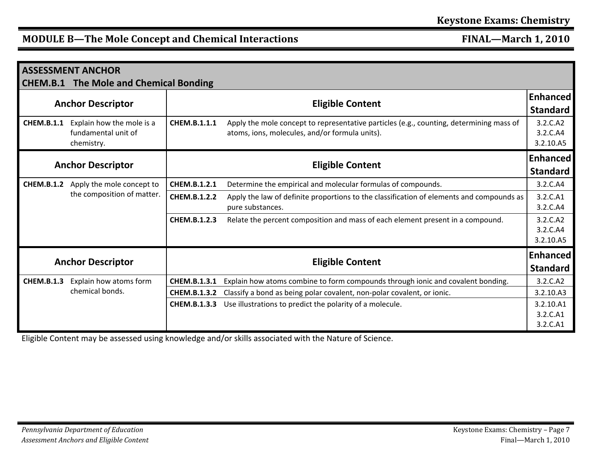#### **MODULE B—The Mole Concept and Chemical Interactions FINAL—March 1, 2010**

| <b>ASSESSMENT ANCHOR</b>                      |                                                                |                         |                                                                                                                                           |                                    |  |
|-----------------------------------------------|----------------------------------------------------------------|-------------------------|-------------------------------------------------------------------------------------------------------------------------------------------|------------------------------------|--|
| <b>CHEM.B.1 The Mole and Chemical Bonding</b> |                                                                |                         |                                                                                                                                           |                                    |  |
| <b>Anchor Descriptor</b>                      |                                                                | <b>Eligible Content</b> |                                                                                                                                           | <b>Enhanced</b>                    |  |
|                                               |                                                                |                         |                                                                                                                                           | <b>Standard</b>                    |  |
| <b>CHEM.B.1.1</b>                             | Explain how the mole is a<br>fundamental unit of<br>chemistry. | CHEM.B.1.1.1            | Apply the mole concept to representative particles (e.g., counting, determining mass of<br>atoms, ions, molecules, and/or formula units). | 3.2.C.A2<br>3.2.C.A4<br>3.2.10.A5  |  |
| <b>Anchor Descriptor</b>                      |                                                                | <b>Eligible Content</b> |                                                                                                                                           | <b>Enhanced</b>                    |  |
|                                               |                                                                |                         |                                                                                                                                           |                                    |  |
| <b>CHEM.B.1.2</b>                             | Apply the mole concept to<br>the composition of matter.        | CHEM.B.1.2.1            | Determine the empirical and molecular formulas of compounds.                                                                              | 3.2.C.A4                           |  |
|                                               |                                                                | <b>CHEM.B.1.2.2</b>     | Apply the law of definite proportions to the classification of elements and compounds as<br>pure substances.                              | 3.2.C.A1<br>3.2.C.A4               |  |
|                                               |                                                                | <b>CHEM.B.1.2.3</b>     | Relate the percent composition and mass of each element present in a compound.                                                            | 3.2.C.A2<br>3.2.C.A4<br>3.2.10.A5  |  |
| <b>Anchor Descriptor</b>                      |                                                                |                         | <b>Eligible Content</b>                                                                                                                   | <b>Enhanced</b><br><b>Standard</b> |  |
| <b>CHEM.B.1.3</b>                             | Explain how atoms form                                         | CHEM.B.1.3.1            | Explain how atoms combine to form compounds through ionic and covalent bonding.                                                           | 3.2.C.A2                           |  |
|                                               | chemical bonds.                                                | <b>CHEM.B.1.3.2</b>     | Classify a bond as being polar covalent, non-polar covalent, or ionic.                                                                    | 3.2.10.A3                          |  |
|                                               |                                                                | <b>CHEM.B.1.3.3</b>     | Use illustrations to predict the polarity of a molecule.                                                                                  | 3.2.10.A1                          |  |
|                                               |                                                                |                         |                                                                                                                                           | 3.2.C.A1<br>3.2.C.A1               |  |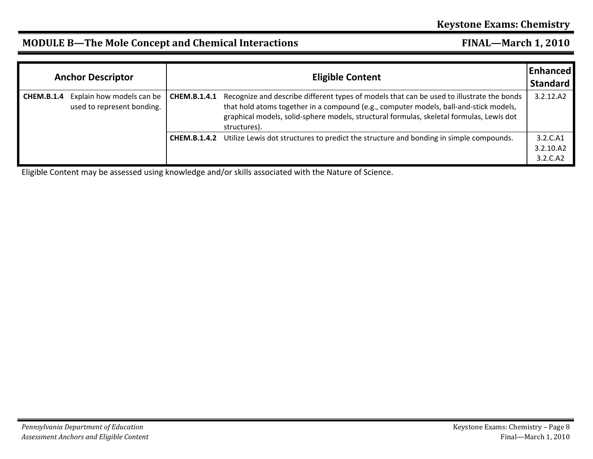#### **MODULE B—The Mole Concept and Chemical Interactions FINAL—March 1, 2010**

| <b>Anchor Descriptor</b>                                              |                     | <b>Eligible Content</b>                                                                                                                                                                                                                                                                        | <b>Enhanced</b><br><b>Standard</b> |
|-----------------------------------------------------------------------|---------------------|------------------------------------------------------------------------------------------------------------------------------------------------------------------------------------------------------------------------------------------------------------------------------------------------|------------------------------------|
| Explain how models can be<br>CHEM.B.1.4<br>used to represent bonding. | <b>CHEM.B.1.4.1</b> | Recognize and describe different types of models that can be used to illustrate the bonds<br>that hold atoms together in a compound (e.g., computer models, ball-and-stick models,<br>graphical models, solid-sphere models, structural formulas, skeletal formulas, Lewis dot<br>structures). | 3.2.12.A2                          |
|                                                                       | <b>CHEM.B.1.4.2</b> | Utilize Lewis dot structures to predict the structure and bonding in simple compounds.                                                                                                                                                                                                         | 3.2.C.A1<br>3.2.10.A2<br>3.2.C.A2  |